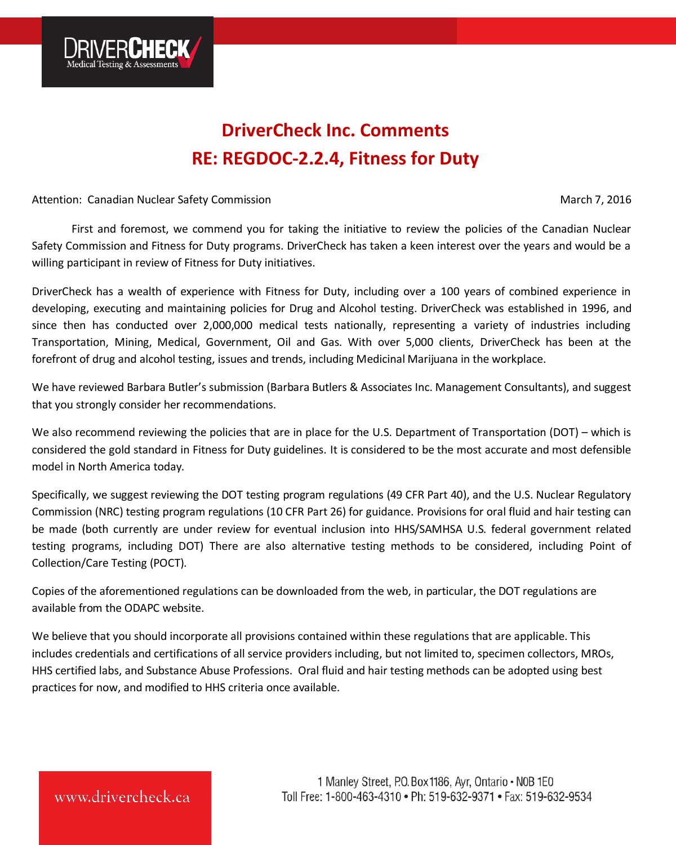

# **DriverCheck Inc. Comments RE: REGDOC-2.2.4, Fitness for Duty**

Attention: Canadian Nuclear Safety Commission March 7, 2016

First and foremost, we commend you for taking the initiative to review the policies of the Canadian Nuclear Safety Commission and Fitness for Duty programs. DriverCheck has taken a keen interest over the years and would be a willing participant in review of Fitness for Duty initiatives.

DriverCheck has a wealth of experience with Fitness for Duty, including over a 100 years of combined experience in developing, executing and maintaining policies for Drug and Alcohol testing. DriverCheck was established in 1996, and since then has conducted over 2,000,000 medical tests nationally, representing a variety of industries including Transportation, Mining, Medical, Government, Oil and Gas. With over 5,000 clients, DriverCheck has been at the forefront of drug and alcohol testing, issues and trends, including Medicinal Marijuana in the workplace.

We have reviewed Barbara Butler's submission (Barbara Butlers & Associates Inc. Management Consultants), and suggest that you strongly consider her recommendations.

We also recommend reviewing the policies that are in place for the U.S. Department of Transportation (DOT) – which is considered the gold standard in Fitness for Duty guidelines. It is considered to be the most accurate and most defensible model in North America today.

Specifically, we suggest reviewing the DOT testing program regulations (49 CFR Part 40), and the U.S. Nuclear Regulatory Commission (NRC) testing program regulations (10 CFR Part 26) for guidance. Provisions for oral fluid and hair testing can be made (both currently are under review for eventual inclusion into HHS/SAMHSA U.S. federal government related testing programs, including DOT) There are also alternative testing methods to be considered, including Point of Collection/Care Testing (POCT).

Copies of the aforementioned regulations can be downloaded from the web, in particular, the DOT regulations are available from the ODAPC website.

We believe that you should incorporate all provisions contained within these regulations that are applicable. This includes credentials and certifications of all service providers including, but not limited to, specimen collectors, MROs, HHS certified labs, and Substance Abuse Professions. Oral fluid and hair testing methods can be adopted using best practices for now, and modified to HHS criteria once available.

## www.drivercheck.ca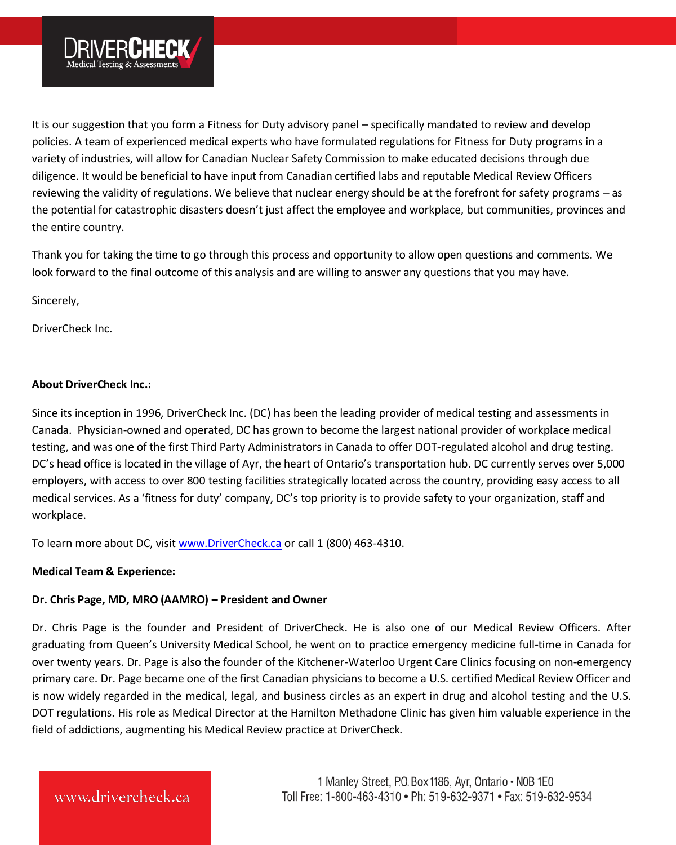

It is our suggestion that you form a Fitness for Duty advisory panel – specifically mandated to review and develop policies. A team of experienced medical experts who have formulated regulations for Fitness for Duty programs in a variety of industries, will allow for Canadian Nuclear Safety Commission to make educated decisions through due diligence. It would be beneficial to have input from Canadian certified labs and reputable Medical Review Officers reviewing the validity of regulations. We believe that nuclear energy should be at the forefront for safety programs – as the potential for catastrophic disasters doesn't just affect the employee and workplace, but communities, provinces and the entire country.

Thank you for taking the time to go through this process and opportunity to allow open questions and comments. We look forward to the final outcome of this analysis and are willing to answer any questions that you may have.

Sincerely,

DriverCheck Inc.

#### **About DriverCheck Inc.:**

Since its inception in 1996, DriverCheck Inc. (DC) has been the leading provider of medical testing and assessments in Canada. Physician-owned and operated, DC has grown to become the largest national provider of workplace medical testing, and was one of the first Third Party Administrators in Canada to offer DOT-regulated alcohol and drug testing. DC's head office is located in the village of Ayr, the heart of Ontario's transportation hub. DC currently serves over 5,000 employers, with access to over 800 testing facilities strategically located across the country, providing easy access to all medical services. As a 'fitness for duty' company, DC's top priority is to provide safety to your organization, staff and workplace.

To learn more about DC, visi[t www.DriverCheck.ca](http://www.drivercheck.ca/) or call 1 (800) 463-4310.

#### **Medical Team & Experience:**

#### **Dr. Chris Page, MD, MRO (AAMRO) – President and Owner**

Dr. Chris Page is the founder and President of DriverCheck. He is also one of our Medical Review Officers. After graduating from Queen's University Medical School, he went on to practice emergency medicine full-time in Canada for over twenty years. Dr. Page is also the founder of the Kitchener-Waterloo Urgent Care Clinics focusing on non-emergency primary care. Dr. Page became one of the first Canadian physicians to become a U.S. certified Medical Review Officer and is now widely regarded in the medical, legal, and business circles as an expert in drug and alcohol testing and the U.S. DOT regulations. His role as Medical Director at the Hamilton Methadone Clinic has given him valuable experience in the field of addictions, augmenting his Medical Review practice at DriverCheck.

### www.drivercheck.ca

1 Manley Street, P.O. Box 1186, Ayr, Ontario . NOB 1E0 Toll Free: 1-800-463-4310 . Ph: 519-632-9371 . Fax: 519-632-9534